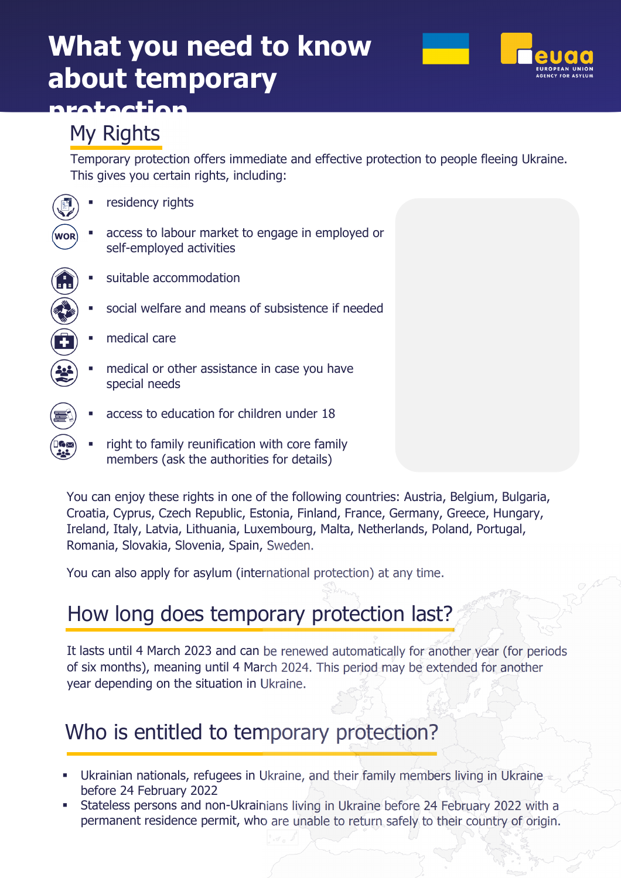# **What you need to know about temporary**



# My Rights

**protection** 

Temporary protection offers immediate and effective protection to people fleeing Ukraine. This gives you certain rights, including:

|            | residency rights                                                                            |
|------------|---------------------------------------------------------------------------------------------|
| <b>WOR</b> | access to labour market to engage in employed or<br>self-employed activities                |
|            | suitable accommodation                                                                      |
|            | social welfare and means of subsistence if needed                                           |
|            | medical care                                                                                |
|            | medical or other assistance in case you have<br>special needs                               |
|            | access to education for children under 18                                                   |
|            | right to family reunification with core family<br>members (ask the authorities for details) |

You can enjoy these rights in one of the following countries: Austria, Belgium, Bulgaria, Croatia, Cyprus, Czech Republic, Estonia, Finland, France, Germany, Greece, Hungary, Ireland, Italy, Latvia, Lithuania, Luxembourg, Malta, Netherlands, Poland, Portugal, Romania, Slovakia, Slovenia, Spain, Sweden.

You can also apply for asylum (international protection) at any time.

# How long does temporary protection last?

It lasts until 4 March 2023 and can be renewed automatically for another year (for periods of six months), meaning until 4 March 2024. This period may be extended for another year depending on the situation in Ukraine.

#### Who is entitled to temporary protection?

- Ukrainian nationals, refugees in Ukraine, and their family members living in Ukraine before 24 February 2022
- Stateless persons and non-Ukrainians living in Ukraine before 24 February 2022 with a permanent residence permit, who are unable to return safely to their country of origin.